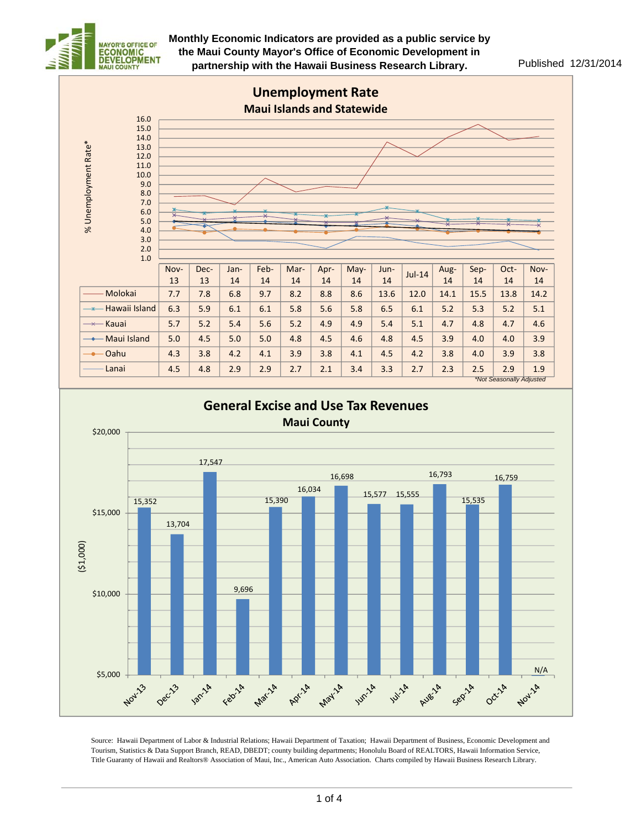



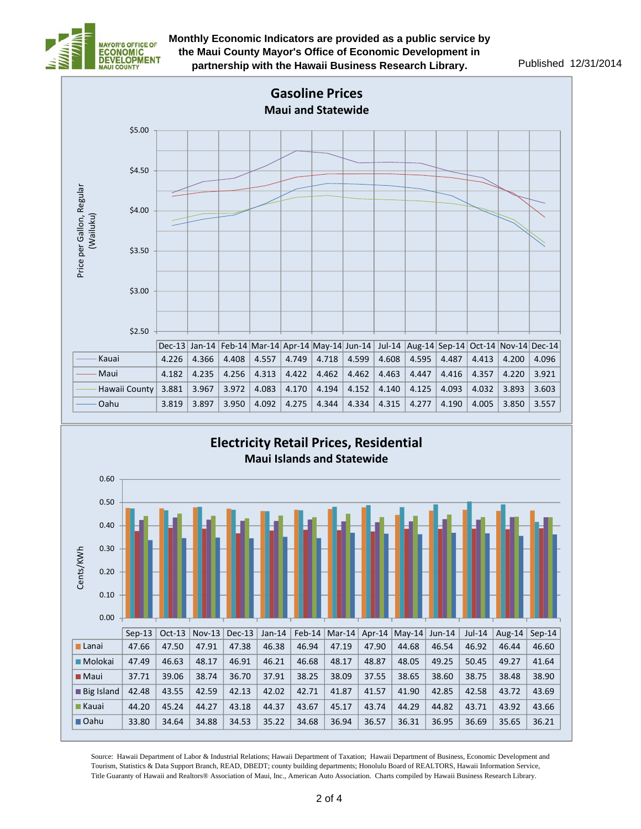



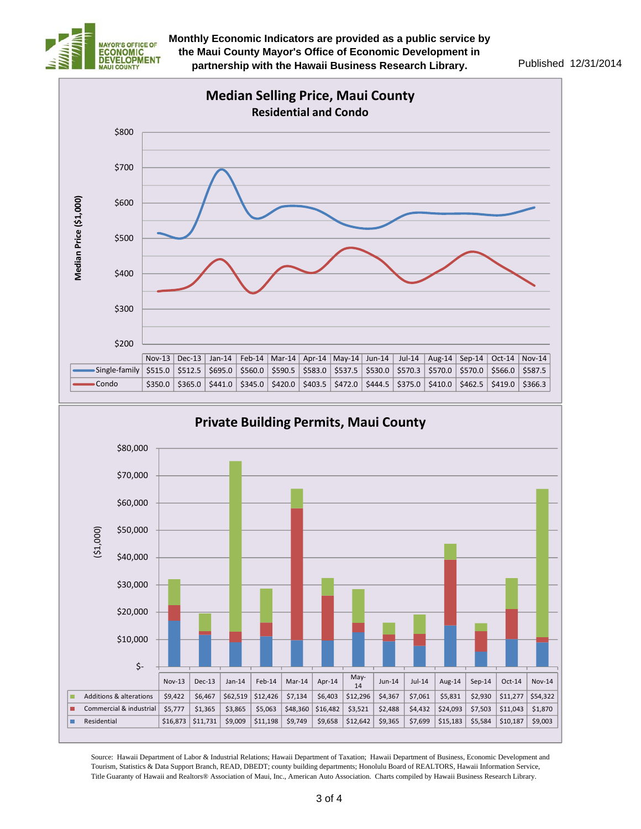